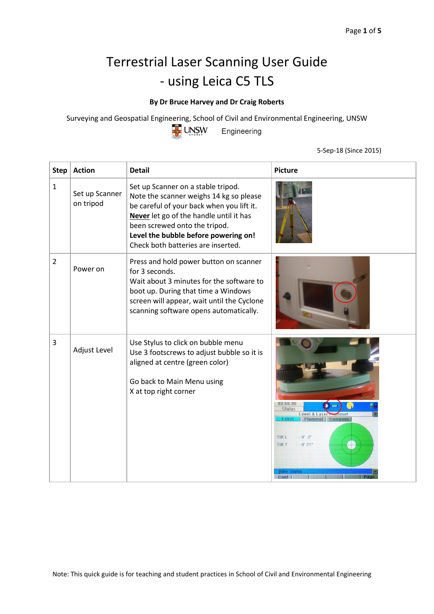## Terrestrial Laser Scanning User Guide - using Leica C5 TLS

## **By Dr Bruce Harvey and Dr Craig Roberts**

Surveying and Geospatial Engineering, School of Civil and Environmental Engineering, UNSW



Engineering

5-Sep-18 (Since 2015)

| <b>Step</b>    | <b>Action</b>               | <b>Detail</b>                                                                                                                                                                                                                                                                        | <b>Picture</b>                                                                                                                                        |
|----------------|-----------------------------|--------------------------------------------------------------------------------------------------------------------------------------------------------------------------------------------------------------------------------------------------------------------------------------|-------------------------------------------------------------------------------------------------------------------------------------------------------|
| $\mathbf{1}$   | Set up Scanner<br>on tripod | Set up Scanner on a stable tripod.<br>Note the scanner weighs 14 kg so please<br>be careful of your back when you lift it.<br>Never let go of the handle until it has<br>been screwed onto the tripod.<br>Level the bubble before powering on!<br>Check both batteries are inserted. |                                                                                                                                                       |
| $\overline{2}$ | Power on                    | Press and hold power button on scanner<br>for 3 seconds.<br>Wait about 3 minutes for the software to<br>boot up. During that time a Windows<br>screen will appear, wait until the Cyclone<br>scanning software opens automatically.                                                  |                                                                                                                                                       |
| 3              | Adjust Level                | Use Stylus to click on bubble menu<br>Use 3 footscrews to adjust bubble so it is<br>aligned at centre (green color)<br>Go back to Main Menu using<br>X at top right corner                                                                                                           | U3:55:35<br><b>Status</b><br>Level & Laser<br><b>Plummet   Compens</b><br><b>PVP</b><br>Tilt L<br>$: -0'$ $2"$<br><b>Tilt T</b><br>$: -0'21"$<br>Cont |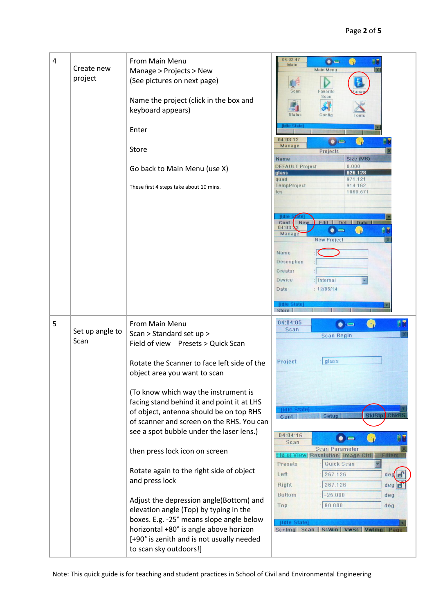| 4 | Create new<br>project   | From Main Menu<br>Manage > Projects > New<br>(See pictures on next page)<br>Name the project (click in the box and<br>keyboard appears)<br>Enter<br>Store<br>Go back to Main Menu (use X)<br>These first 4 steps take about 10 mins.                                                                                                                                                                                                                                                                                                                                           | 04:02:47<br>$\bullet =$<br>n)<br>Main<br><b>Main Menu</b><br>Favorite<br>Scan<br>Scan<br><b>Status</b><br>Config<br>Tools<br>Idle Stah<br>04:03:12<br>$\bullet$ $\bullet$<br>۰,<br>Manage<br>Projects<br>Size (MB)<br><b>Name</b><br>0.000<br><b>DEFAULT Project</b><br>626.128<br>glass<br>971.121<br>quad<br>914.162<br>TempProject<br>tes<br>1060.571              |
|---|-------------------------|--------------------------------------------------------------------------------------------------------------------------------------------------------------------------------------------------------------------------------------------------------------------------------------------------------------------------------------------------------------------------------------------------------------------------------------------------------------------------------------------------------------------------------------------------------------------------------|-----------------------------------------------------------------------------------------------------------------------------------------------------------------------------------------------------------------------------------------------------------------------------------------------------------------------------------------------------------------------|
|   |                         |                                                                                                                                                                                                                                                                                                                                                                                                                                                                                                                                                                                | <b>Ildie</b><br>Edit  <br>Del<br>Cont<br><b>New</b><br><b>Data</b><br>04:03:<br>(ن<br>$\bullet$<br>Manage<br><b>New Project</b><br>Name<br>Description<br>Creator<br>Device<br>Internal<br>12/05/14<br>Date<br><b>Hdle State</b><br>Store                                                                                                                             |
| 5 | Set up angle to<br>Scan | From Main Menu<br>Scan > Standard set up ><br>Field of view Presets > Quick Scan<br>Rotate the Scanner to face left side of the                                                                                                                                                                                                                                                                                                                                                                                                                                                | 04:04:05<br>$\left(\cdot\right)$<br>$\bullet =$<br><b>Scan</b><br><b>Scan Begin</b><br>glass<br>Project                                                                                                                                                                                                                                                               |
|   |                         | object area you want to scan<br>(To know which way the instrument is<br>facing stand behind it and point it at LHS<br>of object, antenna should be on top RHS<br>of scanner and screen on the RHS. You can<br>see a spot bubble under the laser lens.)<br>then press lock icon on screen<br>Rotate again to the right side of object<br>and press lock<br>Adjust the depression angle(Bottom) and<br>elevation angle (Top) by typing in the<br>boxes. E.g. -25° means slope angle below<br>horizontal +80° is angle above horizon<br>[+90° is zenith and is not usually needed | <b>Hdle State</b><br>StdStp<br><b>Setup</b><br>eni<br>Cont  <br>04:04:16<br>$\bullet =$<br>Scan<br><b>Scan Parameter</b><br>Id of View Resolution Image Ctrl<br>Filte<br>Quick Scan<br>Presets<br>Left<br>267.126<br>deg<br>267.126<br>Right<br>deg<br><b>Bottom</b><br>$-25.000$<br>deg<br>80.000<br>Top<br>deg<br>[Idle State]<br>Sc+Img Scan   ScWin   VwSc   VwIr |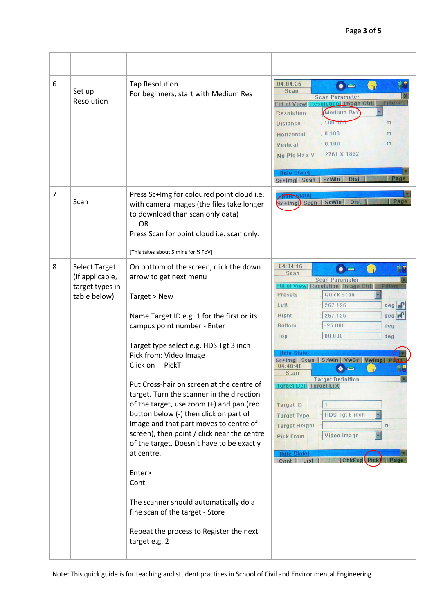| 6 | Set up<br>Resolution                                                       | <b>Tap Resolution</b><br>For beginners, start with Medium Res                                                                                                                                                                                                                                                                                                                                                                                                                                                                                                                                                                                                                             | 04:04:35<br>$\bullet =$<br><b>Scan</b><br><b>Scan Parameter</b><br>Fld of View Resolution I Image Ctrl<br>Filter<br><b>Medium Res</b><br><b>Resolution</b><br>$-100.000$<br>m<br><b>Distance</b><br>0.100<br>m<br>Horizontal<br>: 0.100<br>m<br>Vertical<br>$: 2761 \times 1832$<br>No Pts Hz x V<br><b>Ildle State</b><br>Page<br><b>Dist</b><br>Sc+Img Scan ScWin                                                                                                                                                                                                                                                |
|---|----------------------------------------------------------------------------|-------------------------------------------------------------------------------------------------------------------------------------------------------------------------------------------------------------------------------------------------------------------------------------------------------------------------------------------------------------------------------------------------------------------------------------------------------------------------------------------------------------------------------------------------------------------------------------------------------------------------------------------------------------------------------------------|--------------------------------------------------------------------------------------------------------------------------------------------------------------------------------------------------------------------------------------------------------------------------------------------------------------------------------------------------------------------------------------------------------------------------------------------------------------------------------------------------------------------------------------------------------------------------------------------------------------------|
| 7 | Scan                                                                       | Press Sc+Img for coloured point cloud i.e.<br>with camera images (the files take longer<br>to download than scan only data)<br><b>OR</b><br>Press Scan for point cloud i.e. scan only.<br>[This takes about 5 mins for ¼ FoV]                                                                                                                                                                                                                                                                                                                                                                                                                                                             | <b>torrestate</b><br>Page<br>Sc+lmg Scan   ScWin<br><b>Dist</b>                                                                                                                                                                                                                                                                                                                                                                                                                                                                                                                                                    |
| 8 | <b>Select Target</b><br>(if applicable,<br>target types in<br>table below) | On bottom of the screen, click the down<br>arrow to get next menu<br>Target > New<br>Name Target ID e.g. 1 for the first or its<br>campus point number - Enter<br>Target type select e.g. HDS Tgt 3 inch<br>Pick from: Video Image<br>Click on<br>PickT<br>Put Cross-hair on screen at the centre of<br>target. Turn the scanner in the direction<br>of the target, use zoom (+) and pan (red<br>button below (-) then click on part of<br>image and that part moves to centre of<br>screen), then point / click near the centre<br>of the target. Doesn't have to be exactly<br>at centre.<br>Enter><br>Cont<br>The scanner should automatically do a<br>fine scan of the target - Store | 04:04:16<br>$\bullet =$<br>Scan<br><b>Scan Parameter</b><br><b>Fld of View Resolution Image Ctrl</b><br>Filter<br>Quick Scan<br>Presets<br>$deg$ <sub><math>F</math></sub><br>Left<br>267.126<br>267.126<br>Right<br>deg E<br><b>Bottom</b><br>$-25.000$<br>deg<br>80.000<br>Top<br>deg<br>IIdle State<br>Sc+Img  Scan   ScWin   VwSc   VwImg  Pa<br>04:40:48<br>Scan<br><b>Target Definition</b><br><b>Target Def   Target List</b><br><b>Target ID</b><br>HDS Tgt 6 inch<br><b>Target Type</b><br><b>Target Height</b><br>m<br>Video Image<br><b>Pick From</b><br>[Idle State]<br>ChkExp Picky<br>Cont  <br>list |
|   |                                                                            | Repeat the process to Register the next<br>target e.g. 2                                                                                                                                                                                                                                                                                                                                                                                                                                                                                                                                                                                                                                  |                                                                                                                                                                                                                                                                                                                                                                                                                                                                                                                                                                                                                    |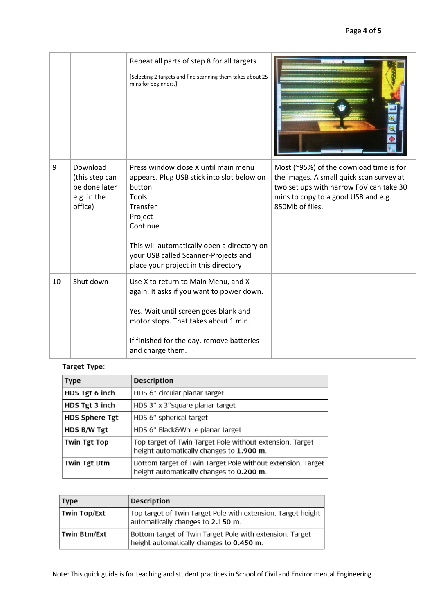|    |                                                                       | Repeat all parts of step 8 for all targets<br>[Selecting 2 targets and fine scanning them takes about 25<br>mins for beginners.]                                                                                                                                         |                                                                                                                                                                                          |
|----|-----------------------------------------------------------------------|--------------------------------------------------------------------------------------------------------------------------------------------------------------------------------------------------------------------------------------------------------------------------|------------------------------------------------------------------------------------------------------------------------------------------------------------------------------------------|
| 9  | Download<br>(this step can<br>be done later<br>e.g. in the<br>office) | Press window close X until main menu<br>appears. Plug USB stick into slot below on<br>button.<br>Tools<br>Transfer<br>Project<br>Continue<br>This will automatically open a directory on<br>your USB called Scanner-Projects and<br>place your project in this directory | Most (~95%) of the download time is for<br>the images. A small quick scan survey at<br>two set ups with narrow FoV can take 30<br>mins to copy to a good USB and e.g.<br>850Mb of files. |
| 10 | Shut down                                                             | Use X to return to Main Menu, and X<br>again. It asks if you want to power down.<br>Yes. Wait until screen goes blank and<br>motor stops. That takes about 1 min.<br>If finished for the day, remove batteries<br>and charge them.                                       |                                                                                                                                                                                          |

## Target Type:

| <b>Type</b>           | <b>Description</b>                                                                                      |
|-----------------------|---------------------------------------------------------------------------------------------------------|
| HDS Tgt 6 inch        | HDS 6" circular planar target                                                                           |
| HDS Tgt 3 inch        | HDS 3" x 3" square planar target                                                                        |
| <b>HDS Sphere Tgt</b> | HDS 6" spherical target                                                                                 |
| HDS B/W Tgt           | HDS 6" Black& White planar target                                                                       |
| <b>Twin Tgt Top</b>   | Top target of Twin Target Pole without extension. Target<br>height automatically changes to 1.900 m.    |
| Twin Tgt Btm          | Bottom target of Twin Target Pole without extension. Target<br>height automatically changes to 0.200 m. |

| Type                | <b>Description</b>                                                                                   |
|---------------------|------------------------------------------------------------------------------------------------------|
| Twin Top/Ext        | Top target of Twin Target Pole with extension. Target height<br>automatically changes to 2.150 m.    |
| <b>Twin Btm/Ext</b> | Bottom target of Twin Target Pole with extension. Target<br>height automatically changes to 0.450 m. |